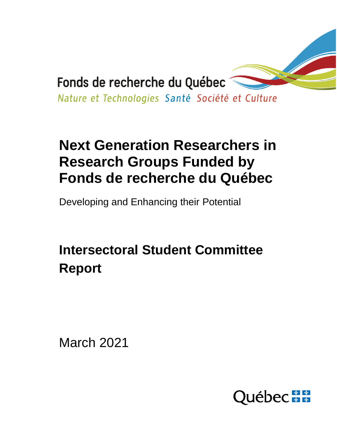

# **Next Generation Researchers in Research Groups Funded by Fonds de recherche du Québec**

Developing and Enhancing their Potential

# **Intersectoral Student Committee Report**

March 2021

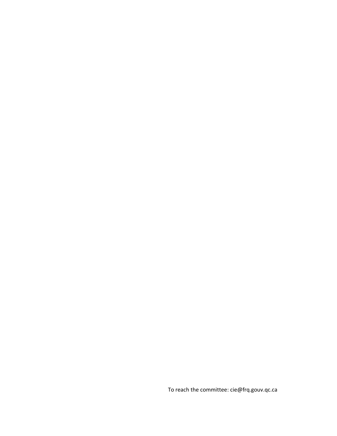To reach the committee: cie@frq.gouv.qc.ca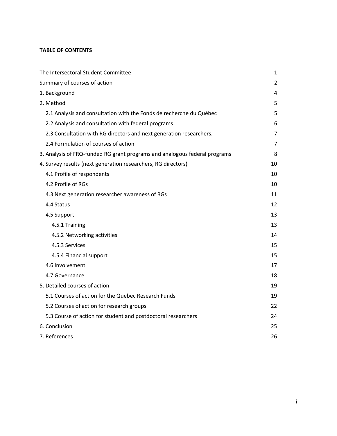# **TABLE OF CONTENTS**

| The Intersectoral Student Committee                                        | $\mathbf{1}$   |
|----------------------------------------------------------------------------|----------------|
| Summary of courses of action                                               | 2              |
| 1. Background                                                              | 4              |
| 2. Method                                                                  | 5              |
| 2.1 Analysis and consultation with the Fonds de recherche du Québec        | 5              |
| 2.2 Analysis and consultation with federal programs                        | 6              |
| 2.3 Consultation with RG directors and next generation researchers.        | $\overline{7}$ |
| 2.4 Formulation of courses of action                                       | 7              |
| 3. Analysis of FRQ-funded RG grant programs and analogous federal programs | 8              |
| 4. Survey results (next generation researchers, RG directors)              | 10             |
| 4.1 Profile of respondents                                                 | 10             |
| 4.2 Profile of RGs                                                         | 10             |
| 4.3 Next generation researcher awareness of RGs                            | 11             |
| 4.4 Status                                                                 | 12             |
| 4.5 Support                                                                | 13             |
| 4.5.1 Training                                                             | 13             |
| 4.5.2 Networking activities                                                | 14             |
| 4.5.3 Services                                                             | 15             |
| 4.5.4 Financial support                                                    | 15             |
| 4.6 Involvement                                                            | 17             |
| 4.7 Governance                                                             | 18             |
| 5. Detailed courses of action                                              | 19             |
| 5.1 Courses of action for the Quebec Research Funds                        | 19             |
| 5.2 Courses of action for research groups                                  | 22             |
| 5.3 Course of action for student and postdoctoral researchers              | 24             |
| 6. Conclusion                                                              | 25             |
| 7. References                                                              | 26             |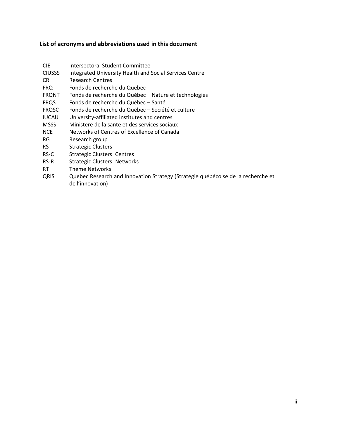# **List of acronyms and abbreviations used in this document**

| CIE           | Intersectoral Student Committee                                                                      |
|---------------|------------------------------------------------------------------------------------------------------|
| <b>CIUSSS</b> | Integrated University Health and Social Services Centre                                              |
| CR            | <b>Research Centres</b>                                                                              |
| <b>FRQ</b>    | Fonds de recherche du Québec                                                                         |
| FRQNT         | Fonds de recherche du Québec - Nature et technologies                                                |
| FRQS          | Fonds de recherche du Québec - Santé                                                                 |
| <b>FRQSC</b>  | Fonds de recherche du Québec - Société et culture                                                    |
| IUCAU         | University-affiliated institutes and centres                                                         |
| MSSS          | Ministère de la santé et des services sociaux                                                        |
| NCE.          | Networks of Centres of Excellence of Canada                                                          |
| RG            | Research group                                                                                       |
| RS.           | <b>Strategic Clusters</b>                                                                            |
| RS-C          | <b>Strategic Clusters: Centres</b>                                                                   |
| RS-R          | <b>Strategic Clusters: Networks</b>                                                                  |
| <b>RT</b>     | <b>Theme Networks</b>                                                                                |
| QRIS          | Quebec Research and Innovation Strategy (Stratégie québécoise de la recherche et<br>de l'innovation) |
|               |                                                                                                      |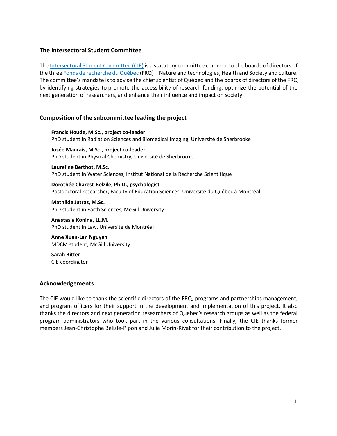## <span id="page-4-0"></span>**The Intersectoral Student Committee**

The [Intersectoral Student Committee \(CIE\)](http://www.scientifique-en-chef.gouv.qc.ca/le-scientifique-en-chef/comite-intersectoriel-etudiant/) is a statutory committee common to the boards of directors of the three [Fonds de recherche du Québec](https://frq.gouv.qc.ca/) (FRQ) – Nature and technologies, Health and Society and culture. The committee's mandate is to advise the chief scientist of Québec and the boards of directors of the FRQ by identifying strategies to promote the accessibility of research funding, optimize the potential of the next generation of researchers, and enhance their influence and impact on society.

# **Composition of the subcommittee leading the project**

**Francis Houde, M.Sc., project co-leader** PhD student in Radiation Sciences and Biomedical Imaging, Université de Sherbrooke

**Josée Maurais, M.Sc., project co-leader** PhD student in Physical Chemistry, Université de Sherbrooke

**Laureline Berthot, M.Sc.** PhD student in Water Sciences, Institut National de la Recherche Scientifique

**Dorothée Charest-Belzile, Ph.D., psychologist** Postdoctoral researcher, Faculty of Education Sciences, Université du Québec à Montréal

**Mathilde Jutras, M.Sc.** PhD student in Earth Sciences, McGill University

**Anastasia Konina, LL.M.** PhD student in Law, Université de Montréal

**Anne Xuan-Lan Nguyen** MDCM student, McGill University

**Sarah Bitter** CIE coordinator

#### **Acknowledgements**

The CIE would like to thank the scientific directors of the FRQ, programs and partnerships management, and program officers for their support in the development and implementation of this project. It also thanks the directors and next generation researchers of Quebec's research groups as well as the federal program administrators who took part in the various consultations. Finally, the CIE thanks former members Jean-Christophe Bélisle-Pipon and Julie Morin-Rivat for their contribution to the project.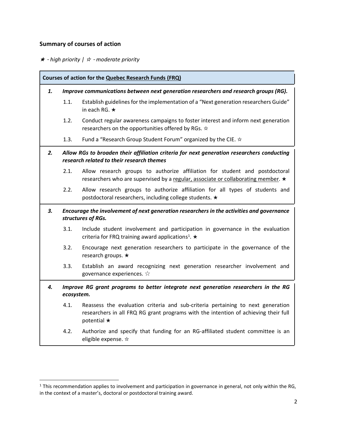# <span id="page-5-0"></span>**Summary of courses of action**

★ - *high priority |* ☆ - *moderate priority*

| Courses of action for the Quebec Research Funds (FRQ)                                                   |                                                                                                                 |                                                                                                                                                                                             |  |
|---------------------------------------------------------------------------------------------------------|-----------------------------------------------------------------------------------------------------------------|---------------------------------------------------------------------------------------------------------------------------------------------------------------------------------------------|--|
| 1.                                                                                                      |                                                                                                                 | Improve communications between next generation researchers and research groups (RG).                                                                                                        |  |
|                                                                                                         | 1.1.                                                                                                            | Establish guidelines for the implementation of a "Next generation researchers Guide"<br>in each RG. $\star$                                                                                 |  |
|                                                                                                         | 1.2.                                                                                                            | Conduct regular awareness campaigns to foster interest and inform next generation<br>researchers on the opportunities offered by RGs. $\dot{\varphi}$                                       |  |
|                                                                                                         | 1.3.                                                                                                            | Fund a "Research Group Student Forum" organized by the CIE. $\dot{\varphi}$                                                                                                                 |  |
| 2.                                                                                                      |                                                                                                                 | Allow RGs to broaden their affiliation criteria for next generation researchers conducting<br>research related to their research themes                                                     |  |
|                                                                                                         | 2.1.                                                                                                            | Allow research groups to authorize affiliation for student and postdoctoral<br>researchers who are supervised by a regular, associate or collaborating member. ★                            |  |
|                                                                                                         | 2.2.                                                                                                            | Allow research groups to authorize affiliation for all types of students and<br>postdoctoral researchers, including college students. ★                                                     |  |
| 3.                                                                                                      | Encourage the involvement of next generation researchers in the activities and governance<br>structures of RGs. |                                                                                                                                                                                             |  |
|                                                                                                         | 3.1.                                                                                                            | Include student involvement and participation in governance in the evaluation<br>criteria for FRQ training award applications <sup>1</sup> . $\star$                                        |  |
|                                                                                                         | 3.2.                                                                                                            | Encourage next generation researchers to participate in the governance of the<br>research groups. ★                                                                                         |  |
|                                                                                                         | 3.3.                                                                                                            | Establish an award recognizing next generation researcher involvement and<br>governance experiences. $\forall$                                                                              |  |
| Improve RG grant programs to better integrate next generation researchers in the RG<br>4.<br>ecosystem. |                                                                                                                 |                                                                                                                                                                                             |  |
|                                                                                                         | 4.1.                                                                                                            | Reassess the evaluation criteria and sub-criteria pertaining to next generation<br>researchers in all FRQ RG grant programs with the intention of achieving their full<br>potential $\star$ |  |
|                                                                                                         | 4.2.                                                                                                            | Authorize and specify that funding for an RG-affiliated student committee is an<br>eligible expense. *                                                                                      |  |

<sup>&</sup>lt;sup>1</sup> This recommendation applies to involvement and participation in governance in general, not only within the RG, in the context of a master's, doctoral or postdoctoral training award.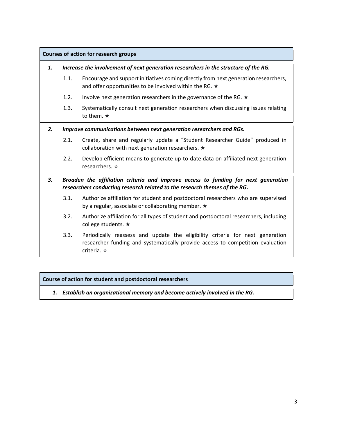| <b>Courses of action for research groups</b>                                                                                                                          |                                                                                     |                                                                                                                                                                                                 |  |  |
|-----------------------------------------------------------------------------------------------------------------------------------------------------------------------|-------------------------------------------------------------------------------------|-------------------------------------------------------------------------------------------------------------------------------------------------------------------------------------------------|--|--|
| 1.                                                                                                                                                                    | Increase the involvement of next generation researchers in the structure of the RG. |                                                                                                                                                                                                 |  |  |
|                                                                                                                                                                       | 1.1.                                                                                | Encourage and support initiatives coming directly from next generation researchers,<br>and offer opportunities to be involved within the RG. $\star$                                            |  |  |
|                                                                                                                                                                       | 1.2.                                                                                | Involve next generation researchers in the governance of the RG. $\star$                                                                                                                        |  |  |
|                                                                                                                                                                       | 1.3.                                                                                | Systematically consult next generation researchers when discussing issues relating<br>to them. $\star$                                                                                          |  |  |
| 2.                                                                                                                                                                    | Improve communications between next generation researchers and RGs.                 |                                                                                                                                                                                                 |  |  |
|                                                                                                                                                                       | 2.1.                                                                                | Create, share and regularly update a "Student Researcher Guide" produced in<br>collaboration with next generation researchers. $\star$                                                          |  |  |
|                                                                                                                                                                       | 2.2.                                                                                | Develop efficient means to generate up-to-date data on affiliated next generation<br>researchers. *                                                                                             |  |  |
| Broaden the affiliation criteria and improve access to funding for next generation<br>3.<br>researchers conducting research related to the research themes of the RG. |                                                                                     |                                                                                                                                                                                                 |  |  |
|                                                                                                                                                                       | 3.1.                                                                                | Authorize affiliation for student and postdoctoral researchers who are supervised<br>by a regular, associate or collaborating member. ★                                                         |  |  |
|                                                                                                                                                                       | 3.2.                                                                                | Authorize affiliation for all types of student and postdoctoral researchers, including<br>college students. ★                                                                                   |  |  |
|                                                                                                                                                                       | 3.3.                                                                                | Periodically reassess and update the eligibility criteria for next generation<br>researcher funding and systematically provide access to competition evaluation<br>criteria. $\dot{\mathbf{x}}$ |  |  |

# **Course of action for student and postdoctoral researchers**

*1. Establish an organizational memory and become actively involved in the RG.*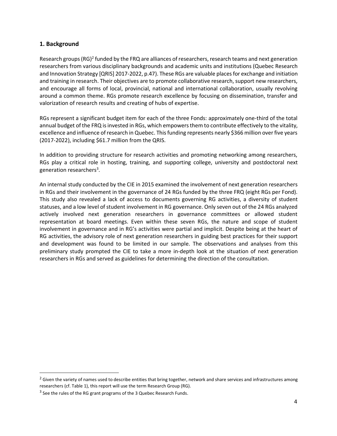## <span id="page-7-0"></span>**1. Background**

Research groups (RG)<sup>2</sup> funded by the FRQ are alliances of researchers, research teams and next generation researchers from various disciplinary backgrounds and academic units and institutions (Quebec Research and Innovation Strategy [QRIS] 2017-2022, p.47). These RGs are valuable places for exchange and initiation and training in research. Their objectives are to promote collaborative research, support new researchers, and encourage all forms of local, provincial, national and international collaboration, usually revolving around a common theme. RGs promote research excellence by focusing on dissemination, transfer and valorization of research results and creating of hubs of expertise.

RGs represent a significant budget item for each of the three Fonds: approximately one-third of the total annual budget of the FRQ is invested in RGs, which empowers them to contribute effectively to the vitality, excellence and influence of research in Quebec. This funding represents nearly \$366 million over five years (2017-2022), including \$61.7 million from the QRIS.

In addition to providing structure for research activities and promoting networking among researchers, RGs play a critical role in hosting, training, and supporting college, university and postdoctoral next generation researchers 3 .

An internal study conducted by the CIE in 2015 examined the involvement of next generation researchers in RGs and their involvement in the governance of 24 RGs funded by the three FRQ (eight RGs per Fond). This study also revealed a lack of access to documents governing RG activities, a diversity of student statuses, and a low level of student involvement in RG governance. Only seven out of the 24 RGs analyzed actively involved next generation researchers in governance committees or allowed student representation at board meetings. Even within these seven RGs, the nature and scope of student involvement in governance and in RG's activities were partial and implicit. Despite being at the heart of RG activities, the advisory role of next generation researchers in guiding best practices for their support and development was found to be limited in our sample. The observations and analyses from this preliminary study prompted the CIE to take a more in-depth look at the situation of next generation researchers in RGs and served as guidelines for determining the direction of the consultation.

 $2$  Given the variety of names used to describe entities that bring together, network and share services and infrastructures among researchers (cf. Table 1), this report will use the term Research Group (RG).

 $3$  See the rules of the RG grant programs of the 3 Quebec Research Funds.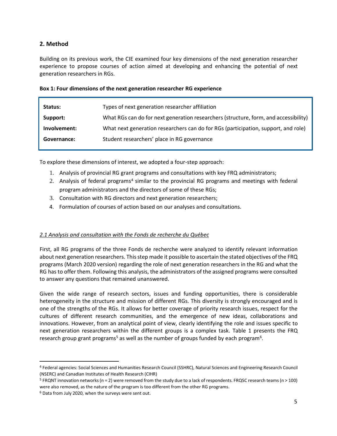# <span id="page-8-0"></span>**2. Method**

Building on its previous work, the CIE examined four key dimensions of the next generation researcher experience to propose courses of action aimed at developing and enhancing the potential of next generation researchers in RGs.

#### **Box 1: Four dimensions of the next generation researcher RG experience**

| Status:      | Types of next generation researcher affiliation                                      |  |
|--------------|--------------------------------------------------------------------------------------|--|
| Support:     | What RGs can do for next generation researchers (structure, form, and accessibility) |  |
| Involvement: | What next generation researchers can do for RGs (participation, support, and role)   |  |
| Governance:  | Student researchers' place in RG governance                                          |  |

To explore these dimensions of interest, we adopted a four-step approach:

- 1. Analysis of provincial RG grant programs and consultations with key FRQ administrators;
- 2. Analysis of federal programs<sup>4</sup> similar to the provincial RG programs and meetings with federal program administrators and the directors of some of these RGs;
- 3. Consultation with RG directors and next generation researchers;
- 4. Formulation of courses of action based on our analyses and consultations.

#### <span id="page-8-1"></span>*2.1 Analysis and consultation with the Fonds de recherche du Québec*

First, all RG programs of the three Fonds de recherche were analyzed to identify relevant information about next generation researchers. This step made it possible to ascertain the stated objectives of the FRQ programs (March 2020 version) regarding the role of next generation researchers in the RG and what the RG has to offer them. Following this analysis, the administrators of the assigned programs were consulted to answer any questions that remained unanswered.

Given the wide range of research sectors, issues and funding opportunities, there is considerable heterogeneity in the structure and mission of different RGs. This diversity is strongly encouraged and is one of the strengths of the RGs. It allows for better coverage of priority research issues, respect for the cultures of different research communities, and the emergence of new ideas, collaborations and innovations. However, from an analytical point of view, clearly identifying the role and issues specific to next generation researchers within the different groups is a complex task. Table 1 presents the FRQ research group grant programs<sup>5</sup> as well as the number of groups funded by each program<sup>6</sup>.

<sup>4</sup> Federal agencies: Social Sciences and Humanities Research Council (SSHRC), Natural Sciences and Engineering Research Council (NSERC) and Canadian Institutes of Health Research (CIHR)

 $5$  FRQNT innovation networks (n = 2) were removed from the study due to a lack of respondents. FRQSC research teams (n > 100) were also removed, as the nature of the program is too different from the other RG programs.

<sup>&</sup>lt;sup>6</sup> Data from July 2020, when the surveys were sent out.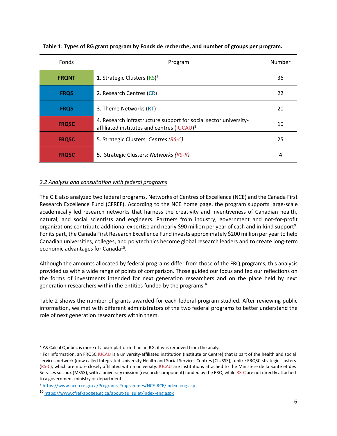| Fonds        | Program                                                                                                                    | Number |
|--------------|----------------------------------------------------------------------------------------------------------------------------|--------|
| <b>FRQNT</b> | 1. Strategic Clusters (RS) <sup>7</sup>                                                                                    | 36     |
| <b>FRQS</b>  | 2. Research Centres (CR)                                                                                                   | 22     |
| <b>FRQS</b>  | 3. Theme Networks (RT)                                                                                                     | 20     |
| <b>FRQSC</b> | 4. Research infrastructure support for social sector university-<br>affiliated institutes and centres (IUCAU) <sup>8</sup> | 10     |
| <b>FROSC</b> | 5. Strategic Clusters: Centres (RS-C)                                                                                      | 25     |
| <b>FRQSC</b> | 5. Strategic Clusters: Networks (RS-R)                                                                                     | 4      |

**Table 1: Types of RG grant program by Fonds de recherche, and number of groups per program.**

# <span id="page-9-0"></span>*2.2 Analysis and consultation with federal programs*

The CIE also analyzed two federal programs, Networks of Centres of Excellence (NCE) and the Canada First Research Excellence Fund (CFREF). According to the NCE home page, the program supports large-scale academically led research networks that harness the creativity and inventiveness of Canadian health, natural, and social scientists and engineers. Partners from industry, government and not-for-profit organizations contribute additional expertise and nearly \$90 million per year of cash and in-kind support<sup>9</sup>. For its part, the Canada First Research Excellence Fund invests approximately \$200 million per year to help Canadian universities, colleges, and polytechnics become global research leaders and to create long-term economic advantages for Canada<sup>10</sup>.

Although the amounts allocated by federal programs differ from those of the FRQ programs, this analysis provided us with a wide range of points of comparison. Those guided our focus and fed our reflections on the forms of investments intended for next generation researchers and on the place held by next generation researchers within the entities funded by the programs."

Table 2 shows the number of grants awarded for each federal program studied. After reviewing public information, we met with different administrators of the two federal programs to better understand the role of next generation researchers within them.

 $7$  As Calcul Québec is more of a user platform than an RG, it was removed from the analysis.

<sup>8</sup> For information, an FRQSC IUCAU is a university-affiliated institution (Institute or Centre) that is part of the health and social services network (now called Integrated University Health and Social Services Centres [CIUSSS]), unlike FRQSC strategic clusters (RS-C), which are more closely affiliated with a university. IUCAU are institutions attached to the Ministère de la Santé et des Services sociaux (MSSS), with a university mission (research component) funded by the FRQ, while RS-C are not directly attached to a government ministry or department.

<sup>9</sup> [https://www.nce-rce.gc.ca/Programs-Programmes/NCE-RCE/Index\\_eng.asp](https://www.nce-rce.gc.ca/Programs-Programmes/NCE-RCE/Index_eng.asp)

<sup>10</sup> [https://www.cfref-apogee.gc.ca/about-au\\_sujet/index-eng.aspx](https://www.cfref-apogee.gc.ca/about-au_sujet/index-eng.aspx)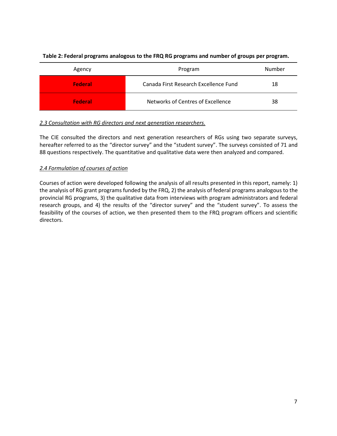| Agency  | Program                               | Number |
|---------|---------------------------------------|--------|
| Federal | Canada First Research Excellence Fund | 18     |
| Federal | Networks of Centres of Excellence     | 38     |

# **Table 2: Federal programs analogous to the FRQ RG programs and number of groups per program.**

# <span id="page-10-0"></span>*2.3 Consultation with RG directors and next generation researchers.*

The CIE consulted the directors and next generation researchers of RGs using two separate surveys, hereafter referred to as the "director survey" and the "student survey". The surveys consisted of 71 and 88 questions respectively. The quantitative and qualitative data were then analyzed and compared.

# <span id="page-10-1"></span>*2.4 Formulation of courses of action*

Courses of action were developed following the analysis of all results presented in this report, namely: 1) the analysis of RG grant programs funded by the FRQ, 2) the analysis of federal programs analogous to the provincial RG programs, 3) the qualitative data from interviews with program administrators and federal research groups, and 4) the results of the "director survey" and the "student survey". To assess the feasibility of the courses of action, we then presented them to the FRQ program officers and scientific directors.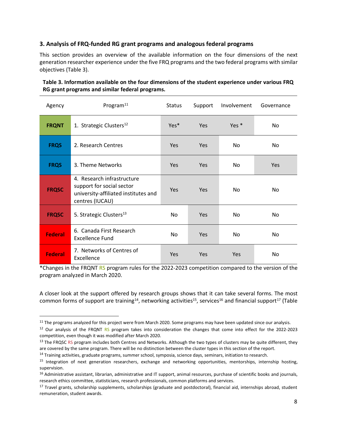# <span id="page-11-0"></span>**3. Analysis of FRQ-funded RG grant programs and analogous federal programs**

This section provides an overview of the available information on the four dimensions of the next generation researcher experience under the five FRQ programs and the two federal programs with similar objectives (Table 3).

| Agency         | Program $^{11}$                                                                                                    | <b>Status</b>    | Support    | Involvement | Governance |
|----------------|--------------------------------------------------------------------------------------------------------------------|------------------|------------|-------------|------------|
| <b>FRQNT</b>   | 1. Strategic Clusters <sup>12</sup>                                                                                | Yes <sup>*</sup> | Yes        | Yes *       | No.        |
| <b>FRQS</b>    | 2. Research Centres                                                                                                | <b>Yes</b>       | Yes        | No          | No         |
| <b>FRQS</b>    | 3. Theme Networks                                                                                                  | <b>Yes</b>       | <b>Yes</b> | No          | Yes        |
| <b>FRQSC</b>   | 4. Research infrastructure<br>support for social sector<br>university-affiliated institutes and<br>centres (IUCAU) | <b>Yes</b>       | <b>Yes</b> | No.         | No         |
| <b>FRQSC</b>   | 5. Strategic Clusters <sup>13</sup>                                                                                | No               | Yes        | No.         | No         |
| <b>Federal</b> | 6. Canada First Research<br><b>Excellence Fund</b>                                                                 | No               | Yes        | No.         | No         |
| <b>Federal</b> | 7. Networks of Centres of<br>Excellence                                                                            | Yes              | <b>Yes</b> | Yes         | No         |

# **Table 3. Information available on the four dimensions of the student experience under various FRQ RG grant programs and similar federal programs.**

\*Changes in the FRQNT RS program rules for the 2022-2023 competition compared to the version of the program analyzed in March 2020.

A closer look at the support offered by research groups shows that it can take several forms. The most common forms of support are training<sup>14</sup>, networking activities<sup>15</sup>, services<sup>16</sup> and financial support<sup>17</sup> (Table

 $11$  The programs analyzed for this project were from March 2020. Some programs may have been updated since our analysis.

<sup>&</sup>lt;sup>12</sup> Our analysis of the FRQNT RS program takes into consideration the changes that come into effect for the 2022-2023 competition, even though it was modified after March 2020.

<sup>&</sup>lt;sup>13</sup> The FRQSC RS program includes both Centres and Networks. Although the two types of clusters may be quite different, they are covered by the same program. There will be no distinction between the cluster types in this section of the report.

<sup>&</sup>lt;sup>14</sup> Training activities, graduate programs, summer school, symposia, science days, seminars, initiation to research.

<sup>15</sup> Integration of next generation researchers, exchange and networking opportunities, mentorships, internship hosting, supervision.

<sup>&</sup>lt;sup>16</sup> Administrative assistant, librarian, administrative and IT support, animal resources, purchase of scientific books and journals, research ethics committee, statisticians, research professionals, common platforms and services.

<sup>&</sup>lt;sup>17</sup> Travel grants, scholarship supplements, scholarships (graduate and postdoctoral), financial aid, internships abroad, student remuneration, student awards.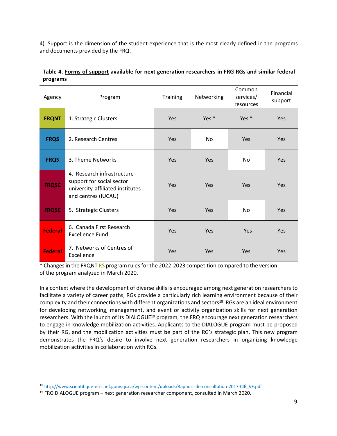4). Support is the dimension of the student experience that is the most clearly defined in the programs and documents provided by the FRQ.

| Agency         | Program                                                                                                            | <b>Training</b> | Networking | Common<br>services/<br>resources | Financial<br>support |
|----------------|--------------------------------------------------------------------------------------------------------------------|-----------------|------------|----------------------------------|----------------------|
| <b>FRQNT</b>   | 1. Strategic Clusters                                                                                              | Yes             | Yes *      | Yes *                            | <b>Yes</b>           |
| <b>FRQS</b>    | 2. Research Centres                                                                                                | Yes             | <b>No</b>  | Yes                              | <b>Yes</b>           |
| <b>FRQS</b>    | 3. Theme Networks                                                                                                  | Yes             | Yes        | No                               | <b>Yes</b>           |
| <b>FRQSC</b>   | 4. Research infrastructure<br>support for social sector<br>university-affiliated institutes<br>and centres (IUCAU) | Yes             | Yes        | Yes                              | <b>Yes</b>           |
| <b>FRQSC</b>   | 5. Strategic Clusters                                                                                              | Yes             | Yes        | <b>No</b>                        | <b>Yes</b>           |
| <b>Federal</b> | 6. Canada First Research<br><b>Excellence Fund</b>                                                                 | Yes             | Yes        | Yes                              | <b>Yes</b>           |
| <b>Federal</b> | 7. Networks of Centres of<br>Excellence                                                                            | Yes             | Yes        | Yes                              | <b>Yes</b>           |

# **Table 4. Forms of support available for next generation researchers in FRG RGs and similar federal programs**

\* Changes in the FRQNT RS program rules for the 2022-2023 competition compared to the version of the program analyzed in March 2020.

In a context where the development of diverse skills is encouraged among next generation researchers to facilitate a variety of career paths, RGs provide a particularly rich learning environment because of their complexity and their connections with different organizations and sectors<sup>18</sup>. RGs are an ideal environment for developing networking, management, and event or activity organization skills for next generation researchers. With the launch of its DIALOGUE<sup>19</sup> program, the FRQ encourage next generation researchers to engage in knowledge mobilization activities. Applicants to the DIALOGUE program must be proposed by their RG, and the mobilization activities must be part of the RG's strategic plan. This new program demonstrates the FRQ's desire to involve next generation researchers in organizing knowledge mobilization activities in collaboration with RGs.

<sup>18</sup> [http://www.scientifique-en-chef.gouv.qc.ca/wp-content/uploads/Rapport-de-consultation-2017-CIÉ\\_VF.pdf](http://www.scientifique-en-chef.gouv.qc.ca/wp-content/uploads/Rapport-de-consultation-2017-CIÉ_VF.pdf)

<sup>19</sup> FRQ DIALOGUE program – next generation researcher component, consulted in March 2020.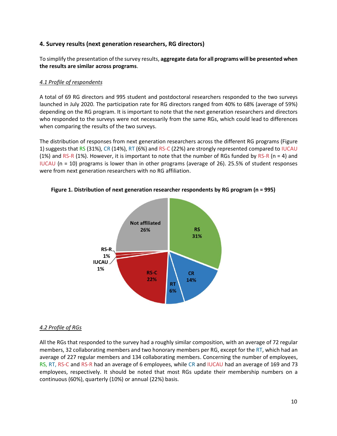# <span id="page-13-0"></span>**4. Survey results (next generation researchers, RG directors)**

To simplify the presentation of the survey results, **aggregate data for all programs will be presented when the results are similar across programs**.

#### <span id="page-13-1"></span>*4.1 Profile of respondents*

A total of 69 RG directors and 995 student and postdoctoral researchers responded to the two surveys launched in July 2020. The participation rate for RG directors ranged from 40% to 68% (average of 59%) depending on the RG program. It is important to note that the next generation researchers and directors who responded to the surveys were not necessarily from the same RGs, which could lead to differences when comparing the results of the two surveys.

The distribution of responses from next generation researchers across the different RG programs (Figure 1) suggests that RS (31%), CR (14%), RT (6%) and RS-C (22%) are strongly represented compared to IUCAU (1%) and RS-R (1%). However, it is important to note that the number of RGs funded by RS-R (n = 4) and IUCAU (n = 10) programs is lower than in other programs (average of 26). 25.5% of student responses were from next generation researchers with no RG affiliation.



**Figure 1. Distribution of next generation researcher respondents by RG program (n = 995)**

# <span id="page-13-2"></span>*4.2 Profile of RGs*

All the RGs that responded to the survey had a roughly similar composition, with an average of 72 regular members, 32 collaborating members and two honorary members per RG, except for the RT, which had an average of 227 regular members and 134 collaborating members. Concerning the number of employees, RS, RT, RS-C and RS-R had an average of 6 employees, while CR and IUCAU had an average of 169 and 73 employees, respectively. It should be noted that most RGs update their membership numbers on a continuous (60%), quarterly (10%) or annual (22%) basis.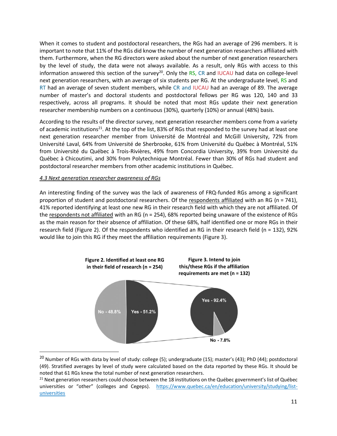When it comes to student and postdoctoral researchers, the RGs had an average of 296 members. It is important to note that 11% of the RGs did know the number of next generation researchers affiliated with them. Furthermore, when the RG directors were asked about the number of next generation researchers by the level of study, the data were not always available. As a result, only RGs with access to this information answered this section of the survey<sup>20</sup>. Only the RS, CR and IUCAU had data on college-level next generation researchers, with an average of six students per RG. At the undergraduate level, RS and RT had an average of seven student members, while CR and IUCAU had an average of 89. The average number of master's and doctoral students and postdoctoral fellows per RG was 120, 140 and 33 respectively, across all programs. It should be noted that most RGs update their next generation researcher membership numbers on a continuous (30%), quarterly (10%) or annual (48%) basis.

According to the results of the director survey, next generation researcher members come from a variety of academic institutions<sup>21</sup>. At the top of the list, 83% of RGs that responded to the survey had at least one next generation researcher member from Université de Montréal and McGill University, 72% from Université Laval, 64% from Université de Sherbrooke, 61% from Université du Québec à Montréal, 51% from Université du Québec à Trois-Rivières, 49% from Concordia University, 39% from Université du Québec à Chicoutimi, and 30% from Polytechnique Montréal. Fewer than 30% of RGs had student and postdoctoral researcher members from other academic institutions in Québec.

#### <span id="page-14-0"></span>*4.3 Next generation researcher awareness of RGs*

An interesting finding of the survey was the lack of awareness of FRQ-funded RGs among a significant proportion of student and postdoctoral researchers. Of the respondents affiliated with an RG (n = 741), 41% reported identifying at least one new RG in their research field with which they are not affiliated. Of the respondents not affiliated with an RG (n = 254), 68% reported being unaware of the existence of RGs as the main reason for their absence of affiliation. Of these 68%, half identified one or more RGs in their research field (Figure 2). Of the respondents who identified an RG in their research field (n = 132), 92% would like to join this RG if they meet the affiliation requirements (Figure 3).



 $20$  Number of RGs with data by level of study: college (5); undergraduate (15); master's (43); PhD (44); postdoctoral (49). Stratified averages by level of study were calculated based on the data reported by these RGs. It should be noted that 61 RGs knew the total number of next generation researchers.

 $21$  Next generation researchers could choose between the 18 institutions on the Québec government's list of Québec universities or "other" (colleges and Cegeps). [https://www.quebec.ca/en/education/university/studying/list](https://www.quebec.ca/en/education/university/studying/list-universities)[universities](https://www.quebec.ca/en/education/university/studying/list-universities)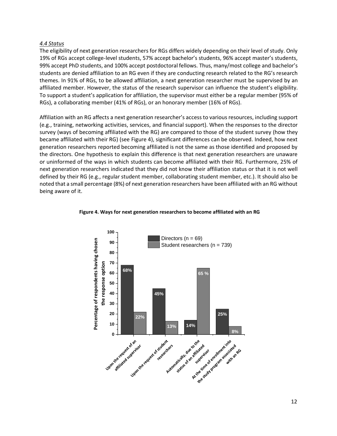#### <span id="page-15-0"></span>*4.4 Status*

The eligibility of next generation researchers for RGs differs widely depending on their level of study. Only 19% of RGs accept college-level students, 57% accept bachelor's students, 96% accept master's students, 99% accept PhD students, and 100% accept postdoctoral fellows. Thus, many/most college and bachelor's students are denied affiliation to an RG even if they are conducting research related to the RG's research themes. In 91% of RGs, to be allowed affiliation, a next generation researcher must be supervised by an affiliated member. However, the status of the research supervisor can influence the student's eligibility. To support a student's application for affiliation, the supervisor must either be a regular member (95% of RGs), a collaborating member (41% of RGs), or an honorary member (16% of RGs).

Affiliation with an RG affects a next generation researcher's access to various resources, including support (e.g., training, networking activities, services, and financial support). When the responses to the director survey (ways of becoming affiliated with the RG) are compared to those of the student survey (how they became affiliated with their RG) (see Figure 4), significant differences can be observed. Indeed, how next generation researchers reported becoming affiliated is not the same as those identified and proposed by the directors. One hypothesis to explain this difference is that next generation researchers are unaware or uninformed of the ways in which students can become affiliated with their RG. Furthermore, 25% of next generation researchers indicated that they did not know their affiliation status or that it is not well defined by their RG (e.g., regular student member, collaborating student member, etc.). It should also be noted that a small percentage (8%) of next generation researchers have been affiliated with an RG without being aware of it.



#### **Figure 4. Ways for next generation researchers to become affiliated with an RG**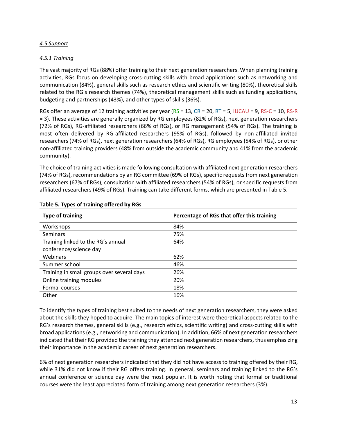## <span id="page-16-0"></span>*4.5 Support*

# <span id="page-16-1"></span>*4.5.1 Training*

The vast majority of RGs (88%) offer training to their next generation researchers. When planning training activities, RGs focus on developing cross-cutting skills with broad applications such as networking and communication (84%), general skills such as research ethics and scientific writing (80%), theoretical skills related to the RG's research themes (74%), theoretical management skills such as funding applications, budgeting and partnerships (43%), and other types of skills (36%).

RGs offer an average of 12 training activities per year ( $RS = 13$ ,  $CR = 20$ ,  $RT = 5$ , IUCAU = 9, RS-C = 10, RS-R = 3). These activities are generally organized by RG employees (82% of RGs), next generation researchers (72% of RGs), RG-affiliated researchers (66% of RGs), or RG management (54% of RGs). The training is most often delivered by RG-affiliated researchers (95% of RGs), followed by non-affiliated invited researchers (74% of RGs), next generation researchers (64% of RGs), RG employees (54% of RGs), or other non-affiliated training providers (48% from outside the academic community and 41% from the academic community).

The choice of training activities is made following consultation with affiliated next generation researchers (74% of RGs), recommendations by an RG committee (69% of RGs), specific requests from next generation researchers (67% of RGs), consultation with affiliated researchers (54% of RGs), or specific requests from affiliated researchers (49% of RGs). Training can take different forms, which are presented in Table 5.

| <b>Type of training</b>                    | Percentage of RGs that offer this training |
|--------------------------------------------|--------------------------------------------|
| Workshops                                  | 84%                                        |
| <b>Seminars</b>                            | 75%                                        |
| Training linked to the RG's annual         | 64%                                        |
| conference/science day                     |                                            |
| <b>Webinars</b>                            | 62%                                        |
| Summer school                              | 46%                                        |
| Training in small groups over several days | 26%                                        |
| Online training modules                    | 20%                                        |
| Formal courses                             | 18%                                        |
| Other                                      | 16%                                        |

#### **Table 5. Types of training offered by RGs**

To identify the types of training best suited to the needs of next generation researchers, they were asked about the skills they hoped to acquire. The main topics of interest were theoretical aspects related to the RG's research themes, general skills (e.g., research ethics, scientific writing) and cross-cutting skills with broad applications (e.g., networking and communication). In addition, 66% of next generation researchers indicated that their RG provided the training they attended next generation researchers, thus emphasizing their importance in the academic career of next generation researchers.

6% of next generation researchers indicated that they did not have access to training offered by their RG, while 31% did not know if their RG offers training. In general, seminars and training linked to the RG's annual conference or science day were the most popular. It is worth noting that formal or traditional courses were the least appreciated form of training among next generation researchers (3%).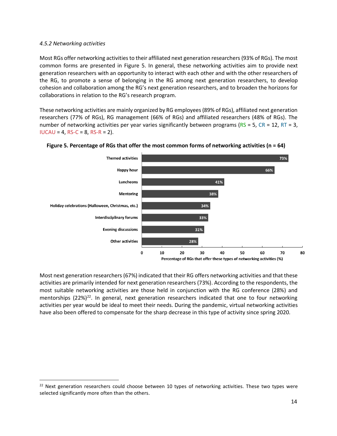#### <span id="page-17-0"></span>*4.5.2 Networking activities*

Most RGs offer networking activitiesto their affiliated next generation researchers (93% of RGs). The most common forms are presented in Figure 5. In general, these networking activities aim to provide next generation researchers with an opportunity to interact with each other and with the other researchers of the RG, to promote a sense of belonging in the RG among next generation researchers, to develop cohesion and collaboration among the RG's next generation researchers, and to broaden the horizons for collaborations in relation to the RG's research program.

These networking activities are mainly organized by RG employees(89% of RGs), affiliated next generation researchers (77% of RGs), RG management (66% of RGs) and affiliated researchers (48% of RGs). The number of networking activities per year varies significantly between programs ( $RS = 5$ ,  $CR = 12$ ,  $RT = 3$ ,  $IUCAU = 4$ , RS-C = 8, RS-R = 2).



#### **Figure 5. Percentage of RGs that offer the most common forms of networking activities (n = 64)**

Most next generation researchers (67%) indicated that their RG offers networking activities and that these activities are primarily intended for next generation researchers (73%). According to the respondents, the most suitable networking activities are those held in conjunction with the RG conference (28%) and mentorships (22%)<sup>22</sup>. In general, next generation researchers indicated that one to four networking activities per year would be ideal to meet their needs. During the pandemic, virtual networking activities have also been offered to compensate for the sharp decrease in this type of activity since spring 2020.

 $22$  Next generation researchers could choose between 10 types of networking activities. These two types were selected significantly more often than the others.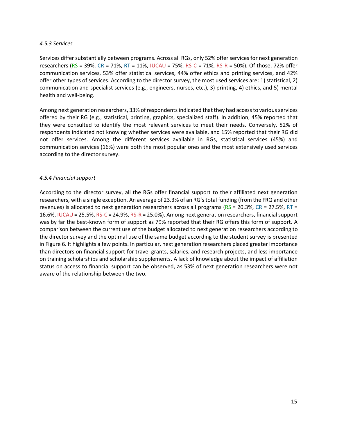#### <span id="page-18-0"></span>*4.5.3 Services*

Services differ substantially between programs. Across all RGs, only 52% offer services for next generation researchers (RS = 39%, CR = 71%, RT = 11%, IUCAU = 75%, RS-C = 71%, RS-R = 50%). Of those, 72% offer communication services, 53% offer statistical services, 44% offer ethics and printing services, and 42% offer other types of services. According to the director survey, the most used services are: 1) statistical, 2) communication and specialist services (e.g., engineers, nurses, etc.), 3) printing, 4) ethics, and 5) mental health and well-being.

Among next generation researchers, 33% of respondentsindicated that they had access to various services offered by their RG (e.g., statistical, printing, graphics, specialized staff). In addition, 45% reported that they were consulted to identify the most relevant services to meet their needs. Conversely, 52% of respondents indicated not knowing whether services were available, and 15% reported that their RG did not offer services. Among the different services available in RGs, statistical services (45%) and communication services (16%) were both the most popular ones and the most extensively used services according to the director survey.

# <span id="page-18-1"></span>*4.5.4 Financial support*

According to the director survey, all the RGs offer financial support to their affiliated next generation researchers, with a single exception. An average of 23.3% of an RG's total funding (from the FRQ and other revenues) is allocated to next generation researchers across all programs ( $RS = 20.3\%$ , CR = 27.5%, RT = 16.6%, IUCAU = 25.5%, RS-C = 24.9%, RS-R = 25.0%). Among next generation researchers, financial support was by far the best-known form of support as 79% reported that their RG offers this form of support. A comparison between the current use of the budget allocated to next generation researchers according to the director survey and the optimal use of the same budget according to the student survey is presented in Figure 6. It highlights a few points. In particular, next generation researchers placed greater importance than directors on financial support for travel grants, salaries, and research projects, and less importance on training scholarships and scholarship supplements. A lack of knowledge about the impact of affiliation status on access to financial support can be observed, as 53% of next generation researchers were not aware of the relationship between the two.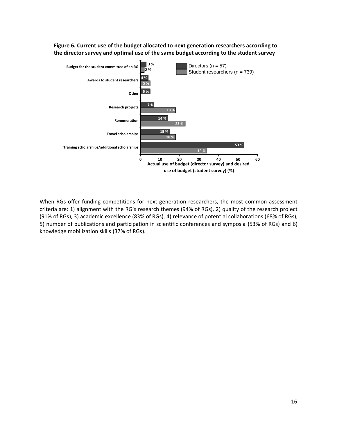



When RGs offer funding competitions for next generation researchers, the most common assessment criteria are: 1) alignment with the RG's research themes (94% of RGs), 2) quality of the research project (91% of RGs), 3) academic excellence (83% of RGs), 4) relevance of potential collaborations (68% of RGs), 5) number of publications and participation in scientific conferences and symposia (53% of RGs) and 6) knowledge mobilization skills (37% of RGs).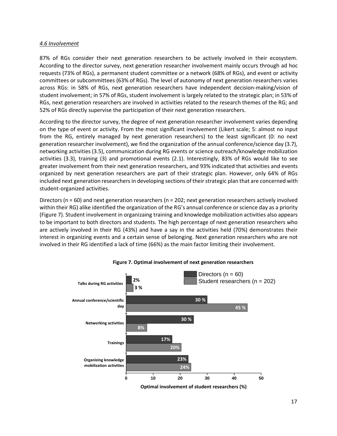#### <span id="page-20-0"></span>*4.6 Involvement*

87% of RGs consider their next generation researchers to be actively involved in their ecosystem. According to the director survey, next generation researcher involvement mainly occurs through ad hoc requests (73% of RGs), a permanent student committee or a network (68% of RGs), and event or activity committees or subcommittees (63% of RGs). The level of autonomy of next generation researchers varies across RGs: in 58% of RGs, next generation researchers have independent decision-making/vision of student involvement; in 57% of RGs, student involvement is largely related to the strategic plan; in 53% of RGs, next generation researchers are involved in activities related to the research themes of the RG; and 52% of RGs directly supervise the participation of their next generation researchers.

According to the director survey, the degree of next generation researcher involvement varies depending on the type of event or activity. From the most significant involvement (Likert scale; 5: almost no input from the RG, entirely managed by next generation researchers) to the least significant (0: no next generation researcher involvement), we find the organization of the annual conference/science day (3.7), networking activities (3.5), communication during RG events or science outreach/knowledge mobilization activities (3.3), training (3) and promotional events (2.1). Interestingly, 83% of RGs would like to see greater involvement from their next generation researchers, and 93% indicated that activities and events organized by next generation researchers are part of their strategic plan. However, only 64% of RGs included next generation researchers in developing sections of their strategic plan that are concerned with student-organized activities.

Directors (n = 60) and next generation researchers (n = 202; next generation researchers actively involved within their RG) alike identified the organization of the RG's annual conference or science day as a priority (Figure 7). Student involvement in organizaing training and knowledge mobilization activities also appears to be important to both directors and students. The high percentage of next generation researchers who are actively involved in their RG (43%) and have a say in the activities held (70%) demonstrates their interest in organizing events and a certain sense of belonging. Next generation researchers who are not involved in their RG identified a lack of time (66%) as the main factor limiting their involvement.



#### **Figure 7. Optimal involvement of next generation researchers**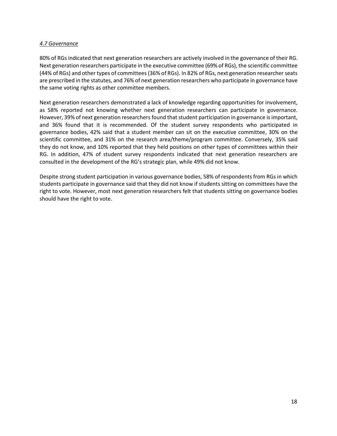#### <span id="page-21-0"></span>*4.7 Governance*

80% of RGs indicated that next generation researchers are actively involved in the governance of their RG. Next generation researchers participate in the executive committee (69% of RGs), the scientific committee (44% of RGs) and other types of committees (36% of RGs). In 82% of RGs, next generation researcher seats are prescribed in the statutes, and 76% of next generation researchers who participate in governance have the same voting rights as other committee members.

Next generation researchers demonstrated a lack of knowledge regarding opportunities for involvement, as 58% reported not knowing whether next generation researchers can participate in governance. However, 39% of next generation researchers found that student participation in governance isimportant, and 36% found that it is recommended. Of the student survey respondents who participated in governance bodies, 42% said that a student member can sit on the executive committee, 30% on the scientific committee, and 31% on the research area/theme/program committee. Conversely, 35% said they do not know, and 10% reported that they held positions on other types of committees within their RG. In addition, 47% of student survey respondents indicated that next generation researchers are consulted in the development of the RG's strategic plan, while 49% did not know.

Despite strong student participation in various governance bodies, 58% of respondents from RGs in which students participate in governance said that they did not know if students sitting on committees have the right to vote. However, most next generation researchers felt that students sitting on governance bodies should have the right to vote.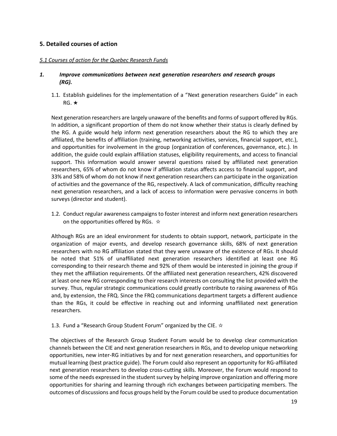# <span id="page-22-0"></span>**5. Detailed courses of action**

#### <span id="page-22-1"></span>*5.1 Courses of action for the Quebec Research Funds*

#### *1. Improve communications between next generation researchers and research groups (RG).*

1.1. Establish guidelines for the implementation of a "Next generation researchers Guide" in each RG. ★

Next generation researchers are largely unaware of the benefits and forms of support offered by RGs. In addition, a significant proportion of them do not know whether their status is clearly defined by the RG. A guide would help inform next generation researchers about the RG to which they are affiliated, the benefits of affiliation (training, networking activities, services, financial support, etc.), and opportunities for involvement in the group (organization of conferences, governance, etc.). In addition, the guide could explain affiliation statuses, eligibility requirements, and access to financial support. This information would answer several questions raised by affiliated next generation researchers, 65% of whom do not know if affiliation status affects access to financial support, and 33% and 58% of whom do not know if next generation researchers can participate in the organization of activities and the governance of the RG, respectively. A lack of communication, difficulty reaching next generation researchers, and a lack of access to information were pervasive concerns in both surveys (director and student).

1.2. Conduct regular awareness campaigns to foster interest and inform next generation researchers on the opportunities offered by RGs. ☆

Although RGs are an ideal environment for students to obtain support, network, participate in the organization of major events, and develop research governance skills, 68% of next generation researchers with no RG affiliation stated that they were unaware of the existence of RGs. It should be noted that 51% of unaffiliated next generation researchers identified at least one RG corresponding to their research theme and 92% of them would be interested in joining the group if they met the affiliation requirements. Of the affiliated next generation researchers, 42% discovered at least one new RG corresponding to their research interests on consulting the list provided with the survey. Thus, regular strategic communications could greatly contribute to raising awareness of RGs and, by extension, the FRQ. Since the FRQ communications department targets a different audience than the RGs, it could be effective in reaching out and informing unaffiliated next generation researchers.

1.3. Fund a "Research Group Student Forum" organized by the CIE.  $\dot{\mathbf{x}}$ 

The objectives of the Research Group Student Forum would be to develop clear communication channels between the CIE and next generation researchers in RGs, and to develop unique networking opportunities, new inter-RG initiatives by and for next generation researchers, and opportunities for mutual learning (best practice guide). The Forum could also represent an opportunity for RG-affiliated next generation researchers to develop cross-cutting skills. Moreover, the Forum would respond to some of the needs expressed in the student survey by helping improve organization and offering more opportunities for sharing and learning through rich exchanges between participating members. The outcomes of discussions and focus groups held by the Forum could be used to produce documentation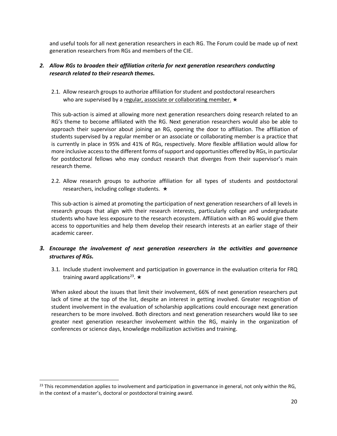and useful tools for all next generation researchers in each RG. The Forum could be made up of next generation researchers from RGs and members of the CIE.

# *2. Allow RGs to broaden their affiliation criteria for next generation researchers conducting research related to their research themes.*

2.1. Allow research groups to authorize affiliation for student and postdoctoral researchers who are supervised by a regular, associate or collaborating member. ★

This sub-action is aimed at allowing more next generation researchers doing research related to an RG's theme to become affiliated with the RG. Next generation researchers would also be able to approach their supervisor about joining an RG, opening the door to affiliation. The affiliation of students supervised by a regular member or an associate or collaborating member is a practice that is currently in place in 95% and 41% of RGs, respectively. More flexible affiliation would allow for more inclusive access to the different forms of support and opportunities offered by RGs, in particular for postdoctoral fellows who may conduct research that diverges from their supervisor's main research theme.

2.2. Allow research groups to authorize affiliation for all types of students and postdoctoral researchers, including college students. ★

This sub-action is aimed at promoting the participation of next generation researchers of all levels in research groups that align with their research interests, particularly college and undergraduate students who have less exposure to the research ecosystem. Affiliation with an RG would give them access to opportunities and help them develop their research interests at an earlier stage of their academic career.

# *3. Encourage the involvement of next generation researchers in the activities and governance structures of RGs.*

3.1. Include student involvement and participation in governance in the evaluation criteria for FRQ training award applications<sup>23</sup>.  $\star$ 

When asked about the issues that limit their involvement, 66% of next generation researchers put lack of time at the top of the list, despite an interest in getting involved. Greater recognition of student involvement in the evaluation of scholarship applications could encourage next generation researchers to be more involved. Both directors and next generation researchers would like to see greater next generation researcher involvement within the RG, mainly in the organization of conferences or science days, knowledge mobilization activities and training.

 $^{23}$  This recommendation applies to involvement and participation in governance in general, not only within the RG, in the context of a master's, doctoral or postdoctoral training award.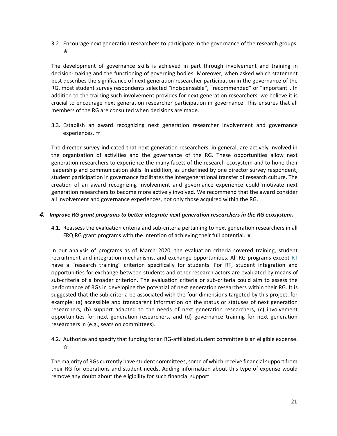3.2. Encourage next generation researchers to participate in the governance of the research groups. ★

The development of governance skills is achieved in part through involvement and training in decision-making and the functioning of governing bodies. Moreover, when asked which statement best describes the significance of next generation researcher participation in the governance of the RG, most student survey respondents selected "indispensable", "recommended" or "important". In addition to the training such involvement provides for next generation researchers, we believe it is crucial to encourage next generation researcher participation in governance. This ensures that all members of the RG are consulted when decisions are made.

3.3. Establish an award recognizing next generation researcher involvement and governance experiences. ☆

The director survey indicated that next generation researchers, in general, are actively involved in the organization of activities and the governance of the RG. These opportunities allow next generation researchers to experience the many facets of the research ecosystem and to hone their leadership and communication skills. In addition, as underlined by one director survey respondent, student participation in governance facilitates the intergenerational transfer of research culture. The creation of an award recognizing involvement and governance experience could motivate next generation researchers to become more actively involved. We recommend that the award consider all involvement and governance experiences, not only those acquired within the RG.

#### *4. Improve RG grant programs to better integrate next generation researchers in the RG ecosystem.*

4.1. Reassess the evaluation criteria and sub-criteria pertaining to next generation researchers in all FRQ RG grant programs with the intention of achieving their full potential. ★

In our analysis of programs as of March 2020, the evaluation criteria covered training, student recruitment and integration mechanisms, and exchange opportunities. All RG programs except RT have a "research training" criterion specifically for students. For RT, student integration and opportunities for exchange between students and other research actors are evaluated by means of sub-criteria of a broader criterion. The evaluation criteria or sub-criteria could aim to assess the performance of RGs in developing the potential of next generation researchers within their RG. It is suggested that the sub-criteria be associated with the four dimensions targeted by this project, for example: (a) accessible and transparent information on the status or statuses of next generation researchers, (b) support adapted to the needs of next generation researchers, (c) involvement opportunities for next generation researchers, and (d) governance training for next generation researchers in (e.g., seats on committees).

4.2. Authorize and specify that funding for an RG-affiliated student committee is an eligible expense. ☆

The majority of RGs currently have student committees, some of which receive financial support from their RG for operations and student needs. Adding information about this type of expense would remove any doubt about the eligibility for such financial support.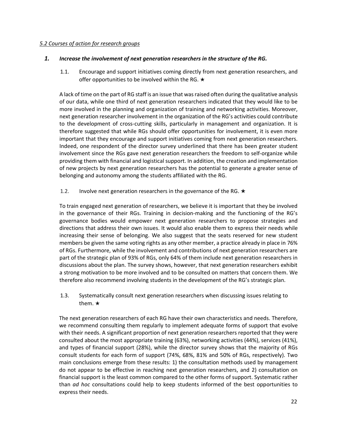#### <span id="page-25-0"></span>*5.2 Courses of action for research groups*

#### *1. Increase the involvement of next generation researchers in the structure of the RG.*

1.1. Encourage and support initiatives coming directly from next generation researchers, and offer opportunities to be involved within the RG.  $\star$ 

A lack of time on the part of RG staff is an issue that was raised often during the qualitative analysis of our data, while one third of next generation researchers indicated that they would like to be more involved in the planning and organization of training and networking activities. Moreover, next generation researcher involvement in the organization of the RG's activities could contribute to the development of cross-cutting skills, particularly in management and organization. It is therefore suggested that while RGs should offer opportunities for involvement, it is even more important that they encourage and support initiatives coming from next generation researchers. Indeed, one respondent of the director survey underlined that there has been greater student involvement since the RGs gave next generation researchers the freedom to self-organize while providing them with financial and logistical support. In addition, the creation and implementation of new projects by next generation researchers has the potential to generate a greater sense of belonging and autonomy among the students affiliated with the RG.

#### 1.2. Involve next generation researchers in the governance of the RG.  $\star$

To train engaged next generation of researchers, we believe it is important that they be involved in the governance of their RGs. Training in decision-making and the functioning of the RG's governance bodies would empower next generation researchers to propose strategies and directions that address their own issues. It would also enable them to express their needs while increasing their sense of belonging. We also suggest that the seats reserved for new student members be given the same voting rights as any other member, a practice already in place in 76% of RGs. Furthermore, while the involvement and contributions of next generation researchers are part of the strategic plan of 93% of RGs, only 64% of them include next generation researchers in discussions about the plan. The survey shows, however, that next generation researchers exhibit a strong motivation to be more involved and to be consulted on matters that concern them. We therefore also recommend involving students in the development of the RG's strategic plan.

1.3. Systematically consult next generation researchers when discussing issues relating to them. ★

The next generation researchers of each RG have their own characteristics and needs. Therefore, we recommend consulting them regularly to implement adequate forms of support that evolve with their needs. A significant proportion of next generation researchers reported that they were consulted about the most appropriate training (63%), networking activities (44%), services (41%), and types of financial support (28%), while the director survey shows that the majority of RGs consult students for each form of support (74%, 68%, 81% and 50% of RGs, respectively). Two main conclusions emerge from these results: 1) the consultation methods used by management do not appear to be effective in reaching next generation researchers, and 2) consultation on financial support is the least common compared to the other forms of support. Systematic rather than *ad hoc* consultations could help to keep students informed of the best opportunities to express their needs.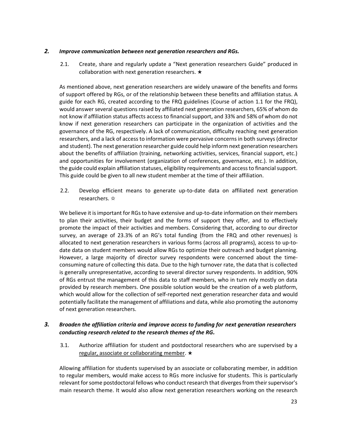#### *2. Improve communication between next generation researchers and RGs.*

2.1. Create, share and regularly update a "Next generation researchers Guide" produced in collaboration with next generation researchers. ★

As mentioned above, next generation researchers are widely unaware of the benefits and forms of support offered by RGs, or of the relationship between these benefits and affiliation status. A guide for each RG, created according to the FRQ guidelines (Course of action 1.1 for the FRQ), would answer several questions raised by affiliated next generation researchers, 65% of whom do not know if affiliation status affects access to financial support, and 33% and 58% of whom do not know if next generation researchers can participate in the organization of activities and the governance of the RG, respectively. A lack of communication, difficulty reaching next generation researchers, and a lack of access to information were pervasive concerns in both surveys (director and student). The next generation researcher guide could help inform next generation researchers about the benefits of affiliation (training, networking activities, services, financial support, etc.) and opportunities for involvement (organization of conferences, governance, etc.). In addition, the guide could explain affiliation statuses, eligibility requirements and access to financial support. This guide could be given to all new student member at the time of their affiliation.

2.2. Develop efficient means to generate up-to-date data on affiliated next generation researchers. ☆

We believe it is important for RGs to have extensive and up-to-date information on their members to plan their activities, their budget and the forms of support they offer, and to effectively promote the impact of their activities and members. Considering that, according to our director survey, an average of 23.3% of an RG's total funding (from the FRQ and other revenues) is allocated to next generation researchers in various forms (across all programs), access to up-todate data on student members would allow RGs to optimize their outreach and budget planning. However, a large majority of director survey respondents were concerned about the timeconsuming nature of collecting this data. Due to the high turnover rate, the data that is collected is generally unrepresentative, according to several director survey respondents. In addition, 90% of RGs entrust the management of this data to staff members, who in turn rely mostly on data provided by research members. One possible solution would be the creation of a web platform, which would allow for the collection of self-reported next generation researcher data and would potentially facilitate the management of affiliations and data, while also promoting the autonomy of next generation researchers.

# *3. Broaden the affiliation criteria and improve access to funding for next generation researchers conducting research related to the research themes of the RG.*

3.1. Authorize affiliation for student and postdoctoral researchers who are supervised by a regular, associate or collaborating member. ★

Allowing affiliation for students supervised by an associate or collaborating member, in addition to regular members, would make access to RGs more inclusive for students. This is particularly relevant for some postdoctoral fellows who conduct research that diverges from their supervisor's main research theme. It would also allow next generation researchers working on the research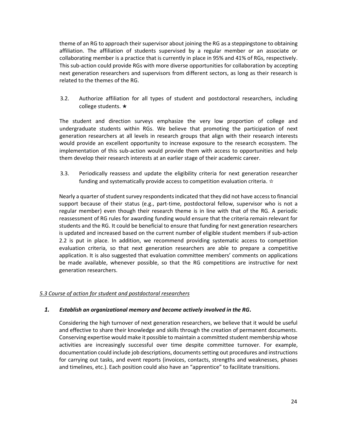theme of an RG to approach their supervisor about joining the RG as a steppingstone to obtaining affiliation. The affiliation of students supervised by a regular member or an associate or collaborating member is a practice that is currently in place in 95% and 41% of RGs, respectively. This sub-action could provide RGs with more diverse opportunities for collaboration by accepting next generation researchers and supervisors from different sectors, as long as their research is related to the themes of the RG.

3.2. Authorize affiliation for all types of student and postdoctoral researchers, including college students. ★

The student and direction surveys emphasize the very low proportion of college and undergraduate students within RGs. We believe that promoting the participation of next generation researchers at all levels in research groups that align with their research interests would provide an excellent opportunity to increase exposure to the research ecosystem. The implementation of this sub-action would provide them with access to opportunities and help them develop their research interests at an earlier stage of their academic career.

3.3. Periodically reassess and update the eligibility criteria for next generation researcher funding and systematically provide access to competition evaluation criteria. ☆

Nearly a quarter of student survey respondents indicated that they did not have access to financial support because of their status (e.g., part-time, postdoctoral fellow, supervisor who is not a regular member) even though their research theme is in line with that of the RG. A periodic reassessment of RG rules for awarding funding would ensure that the criteria remain relevant for students and the RG. It could be beneficial to ensure that funding for next generation researchers is updated and increased based on the current number of eligible student members if sub-action 2.2 is put in place. In addition, we recommend providing systematic access to competition evaluation criteria, so that next generation researchers are able to prepare a competitive application. It is also suggested that evaluation committee members' comments on applications be made available, whenever possible, so that the RG competitions are instructive for next generation researchers.

# <span id="page-27-0"></span>*5.3 Course of action for student and postdoctoral researchers*

#### *1. Establish an organizational memory and become actively involved in the RG.*

Considering the high turnover of next generation researchers, we believe that it would be useful and effective to share their knowledge and skills through the creation of permanent documents. Conserving expertise would make it possible to maintain a committed student membership whose activities are increasingly successful over time despite committee turnover. For example, documentation could include job descriptions, documents setting out procedures and instructions for carrying out tasks, and event reports (invoices, contacts, strengths and weaknesses, phases and timelines, etc.). Each position could also have an "apprentice" to facilitate transitions.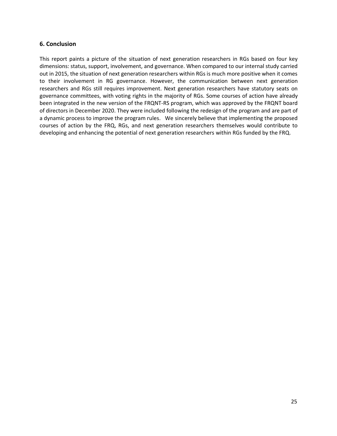#### <span id="page-28-0"></span>**6. Conclusion**

This report paints a picture of the situation of next generation researchers in RGs based on four key dimensions: status, support, involvement, and governance. When compared to our internal study carried out in 2015, the situation of next generation researchers within RGs is much more positive when it comes to their involvement in RG governance. However, the communication between next generation researchers and RGs still requires improvement. Next generation researchers have statutory seats on governance committees, with voting rights in the majority of RGs. Some courses of action have already been integrated in the new version of the FRQNT-RS program, which was approved by the FRQNT board of directors in December 2020. They were included following the redesign of the program and are part of a dynamic process to improve the program rules. We sincerely believe that implementing the proposed courses of action by the FRQ, RGs, and next generation researchers themselves would contribute to developing and enhancing the potential of next generation researchers within RGs funded by the FRQ.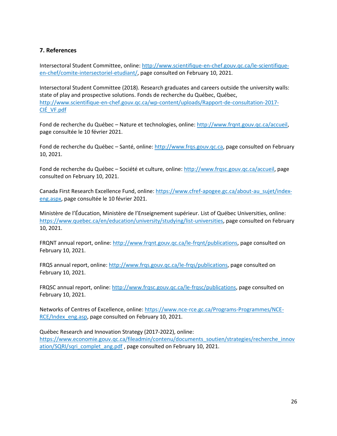# <span id="page-29-0"></span>**7. References**

Intersectoral Student Committee, online: [http://www.scientifique-en-chef.gouv.qc.ca/le-scientifique](http://www.scientifique-en-chef.gouv.qc.ca/le-scientifique-en-chef/comite-intersectoriel-etudiant/)[en-chef/comite-intersectoriel-etudiant/,](http://www.scientifique-en-chef.gouv.qc.ca/le-scientifique-en-chef/comite-intersectoriel-etudiant/) page consulted on February 10, 2021.

Intersectoral Student Committee (2018). Research graduates and careers outside the university walls: state of play and prospective solutions. Fonds de recherche du Québec, Québec, [http://www.scientifique-en-chef.gouv.qc.ca/wp-content/uploads/Rapport-de-consultation-2017-](http://www.scientifique-en-chef.gouv.qc.ca/wp-content/uploads/Rapport-de-consultation-2017-CIÉ_VF.pdf) [CIÉ\\_VF.pdf](http://www.scientifique-en-chef.gouv.qc.ca/wp-content/uploads/Rapport-de-consultation-2017-CIÉ_VF.pdf)

Fond de recherche du Québec – Nature et technologies, online: [http://www.frqnt.gouv.qc.ca/accueil,](http://www.frqnt.gouv.qc.ca/accueil) page consultée le 10 février 2021.

Fond de recherche du Québec – Santé, online: [http://www.frqs.gouv.qc.ca,](http://www.frqs.gouv.qc.ca/) page consulted on February 10, 2021.

Fond de recherche du Québec – Société et culture, online: [http://www.frqsc.gouv.qc.ca/accueil,](http://www.frqsc.gouv.qc.ca/accueil) page consulted on February 10, 2021.

Canada First Research Excellence Fund, online: [https://www.cfref-apogee.gc.ca/about-au\\_sujet/index](https://www.cfref-apogee.gc.ca/about-au_sujet/index-eng.aspx)[eng.aspx,](https://www.cfref-apogee.gc.ca/about-au_sujet/index-eng.aspx) page consultée le 10 février 2021.

Ministère de l'Éducation, Ministère de l'Enseignement supérieur. List of Québec Universities, online: [https://www.quebec.ca/en/education/university/studying/list-universities,](https://www.quebec.ca/en/education/university/studying/list-universities) page consulted on February 10, 2021.

FRQNT annual report, online: [http://www.frqnt.gouv.qc.ca/le-frqnt/publications,](http://www.frqnt.gouv.qc.ca/le-frqnt/publications) page consulted on February 10, 2021.

FRQS annual report, online: [http://www.frqs.gouv.qc.ca/le-frqs/publications,](http://www.frqs.gouv.qc.ca/le-frqs/publications) page consulted on February 10, 2021.

FRQSC annual report, online[: http://www.frqsc.gouv.qc.ca/le-frqsc/publications,](http://www.frqsc.gouv.qc.ca/le-frqsc/publications) page consulted on February 10, 2021.

Networks of Centres of Excellence, online: [https://www.nce-rce.gc.ca/Programs-Programmes/NCE-](https://www.nce-rce.gc.ca/Programs-Programmes/NCE-RCE/Index_eng.asp)[RCE/Index\\_eng.asp,](https://www.nce-rce.gc.ca/Programs-Programmes/NCE-RCE/Index_eng.asp) page consulted on February 10, 2021.

Québec Research and Innovation Strategy (2017-2022), online: [https://www.economie.gouv.qc.ca/fileadmin/contenu/documents\\_soutien/strategies/recherche\\_innov](https://www.economie.gouv.qc.ca/fileadmin/contenu/documents_soutien/strategies/recherche_innovation/SQRI/sqri_complet_ang.pdf) [ation/SQRI/sqri\\_complet\\_ang.pdf](https://www.economie.gouv.qc.ca/fileadmin/contenu/documents_soutien/strategies/recherche_innovation/SQRI/sqri_complet_ang.pdf), page consulted on February 10, 2021.